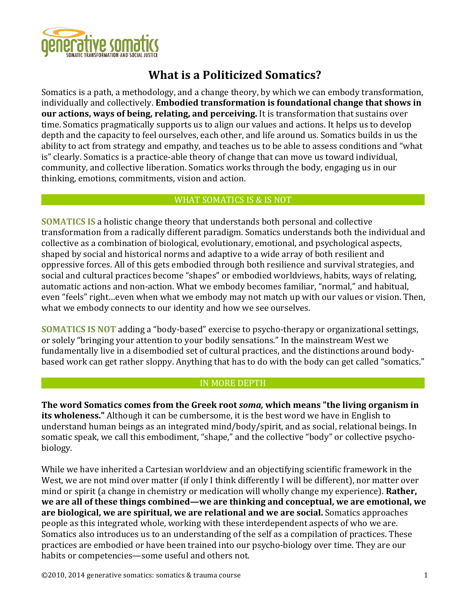

# **What is a Politicized Somatics?**

Somatics is a path, a methodology, and a change theory, by which we can embody transformation, individually and collectively. **Embodied transformation is foundational change that shows in our actions, ways of being, relating, and perceiving.** It is transformation that sustains over time. Somatics pragmatically supports us to align our values and actions. It helps us to develop depth and the capacity to feel ourselves, each other, and life around us. Somatics builds in us the ability to act from strategy and empathy, and teaches us to be able to assess conditions and "what is" clearly. Somatics is a practice-able theory of change that can move us toward individual, community, and collective liberation. Somatics works through the body, engaging us in our thinking, emotions, commitments, vision and action.

# WHAT SOMATICS IS & IS NOT

**SOMATICS IS** a holistic change theory that understands both personal and collective transformation from a radically different paradigm. Somatics understands both the individual and collective as a combination of biological, evolutionary, emotional, and psychological aspects, shaped by social and historical norms and adaptive to a wide array of both resilient and oppressive forces. All of this gets embodied through both resilience and survival strategies, and social and cultural practices become "shapes" or embodied worldviews, habits, ways of relating, automatic actions and non-action. What we embody becomes familiar, "normal," and habitual, even "feels" right...even when what we embody may not match up with our values or vision. Then, what we embody connects to our identity and how we see ourselves.

**SOMATICS IS NOT** adding a "body-based" exercise to psycho-therapy or organizational settings, or solely "bringing your attention to your bodily sensations." In the mainstream West we fundamentally live in a disembodied set of cultural practices, and the distinctions around bodybased work can get rather sloppy. Anything that has to do with the body can get called "somatics."

# IN MORE DEPTH

The word Somatics comes from the Greek root *soma*, which means "the living organism in **its wholeness.**" Although it can be cumbersome, it is the best word we have in English to understand human beings as an integrated mind/body/spirit, and as social, relational beings. In somatic speak, we call this embodiment, "shape," and the collective "body" or collective psychobiology. 

While we have inherited a Cartesian worldview and an objectifying scientific framework in the West, we are not mind over matter (if only I think differently I will be different), nor matter over mind or spirit (a change in chemistry or medication will wholly change my experience). **Rather**, we are all of these things combined—we are thinking and conceptual, we are emotional, we **are biological, we are spiritual, we are relational and we are social.** Somatics approaches people as this integrated whole, working with these interdependent aspects of who we are. Somatics also introduces us to an understanding of the self as a compilation of practices. These practices are embodied or have been trained into our psycho-biology over time. They are our habits or competencies—some useful and others not.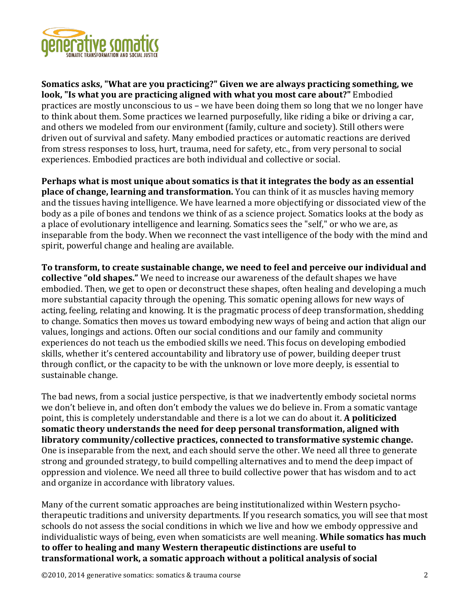

**Somatics asks, "What are you practicing?" Given we are always practicing something, we** look, "Is what you are practicing aligned with what you most care about?" Embodied practices are mostly unconscious to us – we have been doing them so long that we no longer have to think about them. Some practices we learned purposefully, like riding a bike or driving a car, and others we modeled from our environment (family, culture and society). Still others were driven out of survival and safety. Many embodied practices or automatic reactions are derived from stress responses to loss, hurt, trauma, need for safety, etc., from very personal to social experiences. Embodied practices are both individual and collective or social.

**Perhaps what is most unique about somatics is that it integrates the body as an essential place of change, learning and transformation.** You can think of it as muscles having memory and the tissues having intelligence. We have learned a more objectifying or dissociated view of the body as a pile of bones and tendons we think of as a science project. Somatics looks at the body as a place of evolutionary intelligence and learning. Somatics sees the "self," or who we are, as inseparable from the body. When we reconnect the vast intelligence of the body with the mind and spirit, powerful change and healing are available.

To transform, to create sustainable change, we need to feel and perceive our individual and **collective "old shapes."** We need to increase our awareness of the default shapes we have embodied. Then, we get to open or deconstruct these shapes, often healing and developing a much more substantial capacity through the opening. This somatic opening allows for new ways of acting, feeling, relating and knowing. It is the pragmatic process of deep transformation, shedding to change. Somatics then moves us toward embodying new ways of being and action that align our values, longings and actions. Often our social conditions and our family and community experiences do not teach us the embodied skills we need. This focus on developing embodied skills, whether it's centered accountability and libratory use of power, building deeper trust through conflict, or the capacity to be with the unknown or love more deeply, is essential to sustainable change.

The bad news, from a social justice perspective, is that we inadvertently embody societal norms we don't believe in, and often don't embody the values we do believe in. From a somatic vantage point, this is completely understandable and there is a lot we can do about it. **A politicized** somatic theory understands the need for deep personal transformation, aligned with **libratory community/collective practices, connected to transformative systemic change.** One is inseparable from the next, and each should serve the other. We need all three to generate strong and grounded strategy, to build compelling alternatives and to mend the deep impact of oppression and violence. We need all three to build collective power that has wisdom and to act and organize in accordance with libratory values.

Many of the current somatic approaches are being institutionalized within Western psychotherapeutic traditions and university departments. If you research somatics, you will see that most schools do not assess the social conditions in which we live and how we embody oppressive and individualistic ways of being, even when somaticists are well meaning. **While somatics has much** to offer to healing and many Western therapeutic distinctions are useful to transformational work, a somatic approach without a political analysis of social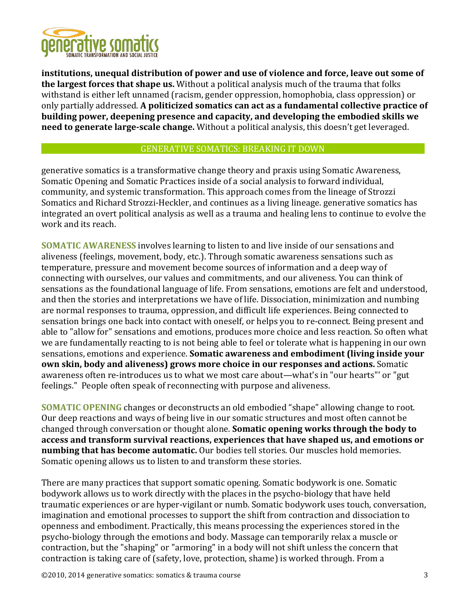

institutions, unequal distribution of power and use of violence and force, leave out some of **the largest forces that shape us.** Without a political analysis much of the trauma that folks withstand is either left unnamed (racism, gender oppression, homophobia, class oppression) or only partially addressed. A politicized somatics can act as a fundamental collective practice of building power, deepening presence and capacity, and developing the embodied skills we **need to generate large-scale change.** Without a political analysis, this doesn't get leveraged.

## GENERATIVE SOMATICS: BREAKING IT DOWN

generative somatics is a transformative change theory and praxis using Somatic Awareness, Somatic Opening and Somatic Practices inside of a social analysis to forward individual, community, and systemic transformation. This approach comes from the lineage of Strozzi Somatics and Richard Strozzi-Heckler, and continues as a living lineage. generative somatics has integrated an overt political analysis as well as a trauma and healing lens to continue to evolve the work and its reach.

**SOMATIC AWARENESS** involves learning to listen to and live inside of our sensations and aliveness (feelings, movement, body, etc.). Through somatic awareness sensations such as temperature, pressure and movement become sources of information and a deep way of connecting with ourselves, our values and commitments, and our aliveness. You can think of sensations as the foundational language of life. From sensations, emotions are felt and understood, and then the stories and interpretations we have of life. Dissociation, minimization and numbing are normal responses to trauma, oppression, and difficult life experiences. Being connected to sensation brings one back into contact with oneself, or helps you to re-connect. Being present and able to "allow for" sensations and emotions, produces more choice and less reaction. So often what we are fundamentally reacting to is not being able to feel or tolerate what is happening in our own sensations, emotions and experience. **Somatic awareness and embodiment (living inside your own skin, body and aliveness) grows more choice in our responses and actions.** Somatic awareness often re-introduces us to what we most care about—what's in "our hearts"' or "gut feelings." People often speak of reconnecting with purpose and aliveness.

**SOMATIC OPENING** changes or deconstructs an old embodied "shape" allowing change to root. Our deep reactions and ways of being live in our somatic structures and most often cannot be changed through conversation or thought alone. **Somatic opening works through the body to** access and transform survival reactions, experiences that have shaped us, and emotions or **numbing that has become automatic.** Our bodies tell stories. Our muscles hold memories. Somatic opening allows us to listen to and transform these stories.

There are many practices that support somatic opening. Somatic bodywork is one. Somatic bodywork allows us to work directly with the places in the psycho-biology that have held traumatic experiences or are hyper-vigilant or numb. Somatic bodywork uses touch, conversation, imagination and emotional processes to support the shift from contraction and dissociation to openness and embodiment. Practically, this means processing the experiences stored in the psycho-biology through the emotions and body. Massage can temporarily relax a muscle or contraction, but the "shaping" or "armoring" in a body will not shift unless the concern that contraction is taking care of (safety, love, protection, shame) is worked through. From a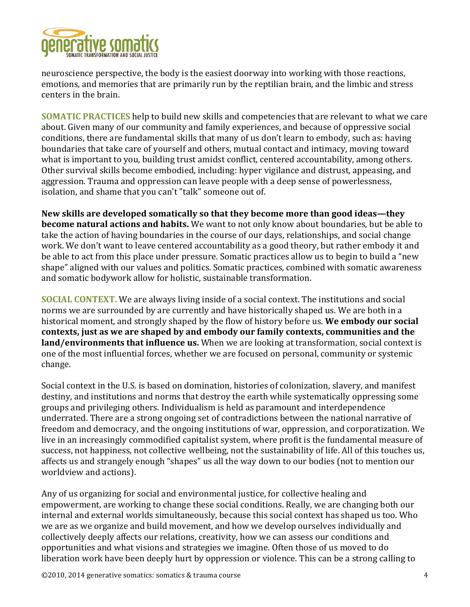

neuroscience perspective, the body is the easiest doorway into working with those reactions, emotions, and memories that are primarily run by the reptilian brain, and the limbic and stress centers in the brain.

**SOMATIC PRACTICES** help to build new skills and competencies that are relevant to what we care about. Given many of our community and family experiences, and because of oppressive social conditions, there are fundamental skills that many of us don't learn to embody, such as: having boundaries that take care of yourself and others, mutual contact and intimacy, moving toward what is important to you, building trust amidst conflict, centered accountability, among others. Other survival skills become embodied, including: hyper vigilance and distrust, appeasing, and aggression. Trauma and oppression can leave people with a deep sense of powerlessness, isolation, and shame that you can't "talk" someone out of.

New skills are developed somatically so that they become more than good ideas—they **become natural actions and habits.** We want to not only know about boundaries, but be able to take the action of having boundaries in the course of our days, relationships, and social change work. We don't want to leave centered accountability as a good theory, but rather embody it and be able to act from this place under pressure. Somatic practices allow us to begin to build a "new shape" aligned with our values and politics. Somatic practices, combined with somatic awareness and somatic bodywork allow for holistic, sustainable transformation.

**SOCIAL CONTEXT.** We are always living inside of a social context. The institutions and social norms we are surrounded by are currently and have historically shaped us. We are both in a historical moment, and strongly shaped by the flow of history before us. We embody our social contexts, just as we are shaped by and embody our family contexts, communities and the **land/environments that influence us.** When we are looking at transformation, social context is one of the most influential forces, whether we are focused on personal, community or systemic change. 

Social context in the U.S. is based on domination, histories of colonization, slavery, and manifest destiny, and institutions and norms that destroy the earth while systematically oppressing some groups and privileging others. Individualism is held as paramount and interdependence underrated. There are a strong ongoing set of contradictions between the national narrative of freedom and democracy, and the ongoing institutions of war, oppression, and corporatization. We live in an increasingly commodified capitalist system, where profit is the fundamental measure of success, not happiness, not collective wellbeing, not the sustainability of life. All of this touches us, affects us and strangely enough "shapes" us all the way down to our bodies (not to mention our worldview and actions).

Any of us organizing for social and environmental justice, for collective healing and empowerment, are working to change these social conditions. Really, we are changing both our internal and external worlds simultaneously, because this social context has shaped us too. Who we are as we organize and build movement, and how we develop ourselves individually and collectively deeply affects our relations, creativity, how we can assess our conditions and opportunities and what visions and strategies we imagine. Often those of us moved to do liberation work have been deeply hurt by oppression or violence. This can be a strong calling to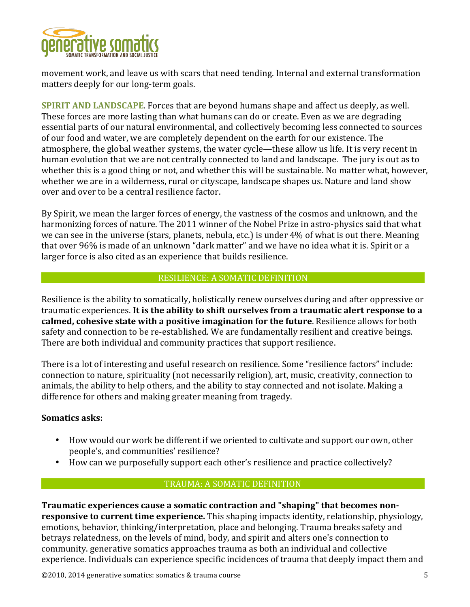

movement work, and leave us with scars that need tending. Internal and external transformation matters deeply for our long-term goals.

**SPIRIT AND LANDSCAPE**. Forces that are beyond humans shape and affect us deeply, as well. These forces are more lasting than what humans can do or create. Even as we are degrading essential parts of our natural environmental, and collectively becoming less connected to sources of our food and water, we are completely dependent on the earth for our existence. The atmosphere, the global weather systems, the water cycle—these allow us life. It is very recent in human evolution that we are not centrally connected to land and landscape. The jury is out as to whether this is a good thing or not, and whether this will be sustainable. No matter what, however, whether we are in a wilderness, rural or cityscape, landscape shapes us. Nature and land show over and over to be a central resilience factor.

By Spirit, we mean the larger forces of energy, the vastness of the cosmos and unknown, and the harmonizing forces of nature. The 2011 winner of the Nobel Prize in astro-physics said that what we can see in the universe (stars, planets, nebula, etc.) is under 4% of what is out there. Meaning that over 96% is made of an unknown "dark matter" and we have no idea what it is. Spirit or a larger force is also cited as an experience that builds resilience.

#### RESILIENCE: A SOMATIC DEFINITION

Resilience is the ability to somatically, holistically renew ourselves during and after oppressive or traumatic experiences. It is the ability to shift ourselves from a traumatic alert response to a **calmed, cohesive state with a positive imagination for the future**. Resilience allows for both safety and connection to be re-established. We are fundamentally resilient and creative beings. There are both individual and community practices that support resilience.

There is a lot of interesting and useful research on resilience. Some "resilience factors" include: connection to nature, spirituality (not necessarily religion), art, music, creativity, connection to animals, the ability to help others, and the ability to stay connected and not isolate. Making a difference for others and making greater meaning from tragedy.

# **Somatics asks:**

- How would our work be different if we oriented to cultivate and support our own, other people's, and communities' resilience?
- How can we purposefully support each other's resilience and practice collectively?

# TRAUMA: A SOMATIC DEFINITION

**Traumatic experiences cause a somatic contraction and "shaping" that becomes nonresponsive to current time experience.** This shaping impacts identity, relationship, physiology, emotions, behavior, thinking/interpretation, place and belonging. Trauma breaks safety and betrays relatedness, on the levels of mind, body, and spirit and alters one's connection to community. generative somatics approaches trauma as both an individual and collective experience. Individuals can experience specific incidences of trauma that deeply impact them and